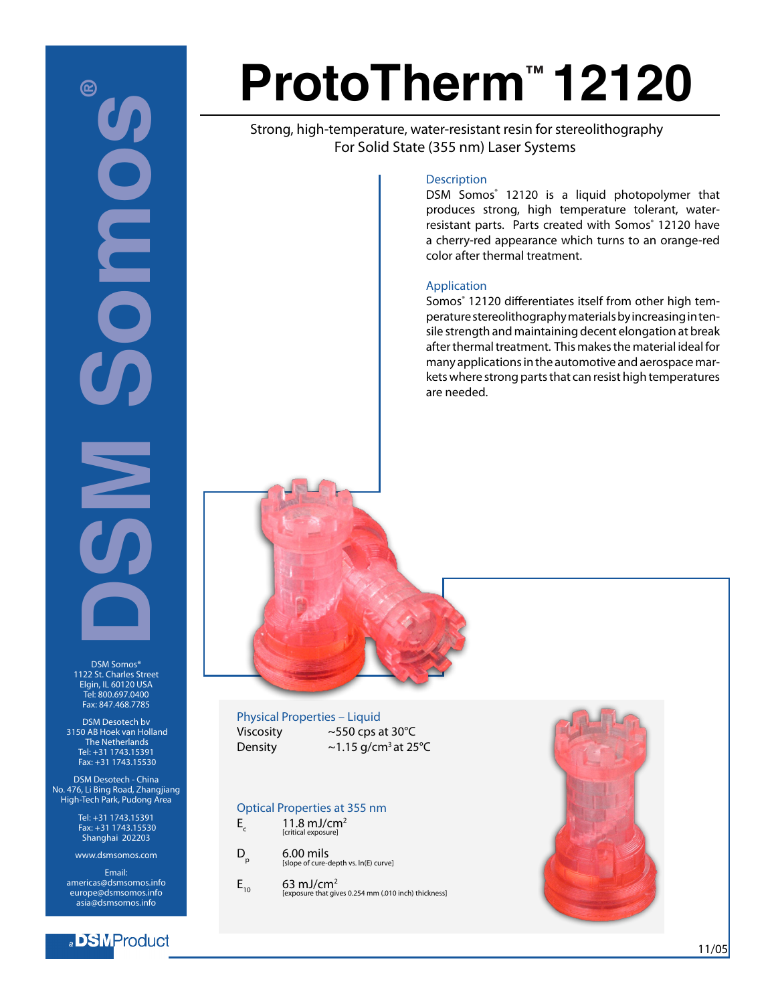# **DSM SOME** 囵 **POIDED**  $\sum_{i=1}^n$

DSM Somos® 1122 St. Charles Street Elgin, IL 60120 USA Tel: 800.697.0400 Fax: 847.468.7785

DSM Desotech bv 3150 AB Hoek van Holland The Netherlands Tel: +31 1743.15391 Fax: +31 1743.15530

DSM Desotech - China No. 476, Li Bing Road, Zhangjiang High-Tech Park, Pudong Area

> Tel: +31 1743.15391 Fax: +31 1743.15530 Shanghai 202203

www.dsmsomos.com

Email: americas@dsmsomos.info europe@dsmsomos.info asia@dsmsomos.info

#### a BMProduct

## **ProtoTherm™ 12120**

 Strong, high-temperature, water-resistant resin for stereolithography For Solid State (355 nm) Laser Systems

#### **Description**

DSM Somos<sup>®</sup> 12120 is a liquid photopolymer that produces strong, high temperature tolerant, waterresistant parts. Parts created with Somos® 12120 have a cherry-red appearance which turns to an orange-red color after thermal treatment.

#### Application

Somos® 12120 differentiates itself from other high temperature stereolithography materials by increasing in tensile strength and maintaining decent elongation at break after thermal treatment. This makes the material ideal for many applications in the automotive and aerospace markets where strong parts that can resist high temperatures are needed.



Viscosity ~550 cps at 30°C Density  $\sim$  1.15 g/cm<sup>3</sup> at 25 $\degree$ C

#### Optical Properties at 355 nm

| E | 11.8 mJ/cm <sup>2</sup><br>[critical exposure] |
|---|------------------------------------------------|
|   |                                                |

| D | $6.00$ mils<br>[slope of cure-depth vs. ln(E) curve] |
|---|------------------------------------------------------|
|   |                                                      |

 $E_{10}$  63 mJ/cm<sup>2</sup> [exposure that gives 0.254 mm (.010 inch) thickness]

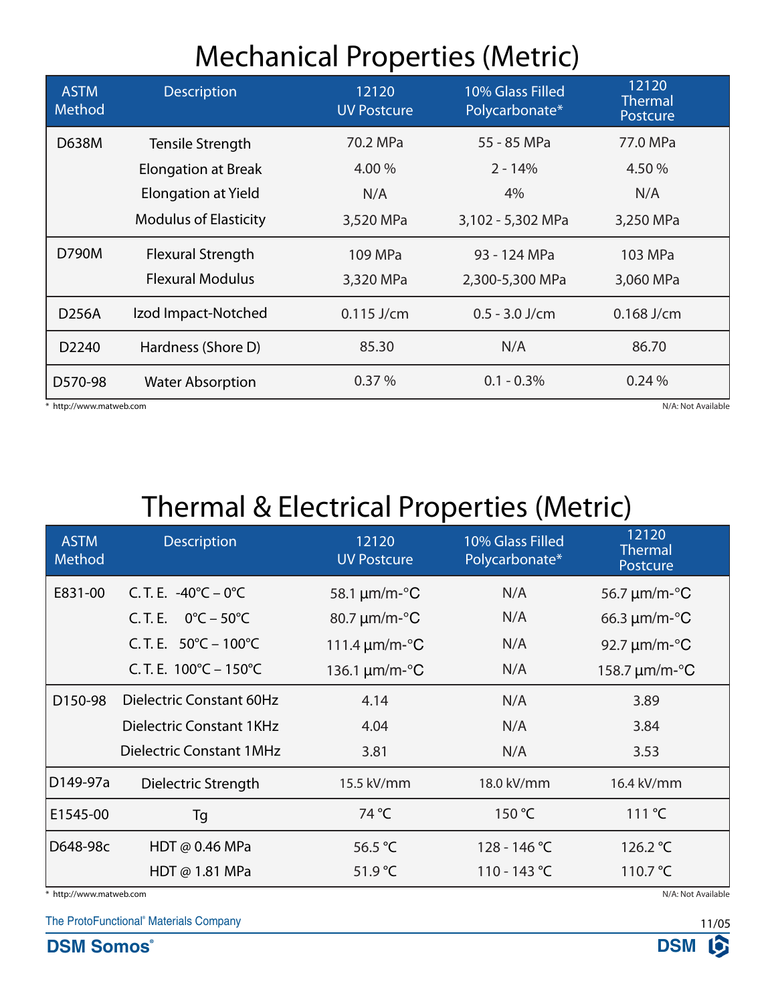### Mechanical Properties (Metric)

| <b>ASTM</b><br>Method   | <b>Description</b>           | 12120<br><b>UV Postcure</b> | 10% Glass Filled<br>Polycarbonate* | 12120<br><b>Thermal</b><br>Postcure |
|-------------------------|------------------------------|-----------------------------|------------------------------------|-------------------------------------|
| D638M                   | Tensile Strength             | 70.2 MPa                    | 55 - 85 MPa                        | 77.0 MPa                            |
|                         | <b>Elongation at Break</b>   | 4.00 %                      | $2 - 14%$                          | 4.50%                               |
|                         | <b>Elongation at Yield</b>   | N/A                         | 4%                                 | N/A                                 |
|                         | <b>Modulus of Elasticity</b> | 3,520 MPa                   | 3,102 - 5,302 MPa                  | 3,250 MPa                           |
| D790M                   | <b>Flexural Strength</b>     | 109 MPa                     | 93 - 124 MPa                       | 103 MPa                             |
|                         | <b>Flexural Modulus</b>      | 3,320 MPa                   | 2,300-5,300 MPa                    | 3,060 MPa                           |
| D256A                   | Izod Impact-Notched          | $0.115$ J/cm                | $0.5 - 3.0$ J/cm                   | $0.168$ J/cm                        |
| D2240                   | Hardness (Shore D)           | 85.30                       | N/A                                | 86.70                               |
| D570-98                 | <b>Water Absorption</b>      | 0.37%                       | $0.1 - 0.3\%$                      | 0.24%                               |
| * http://www.matweb.com |                              |                             | N/A: Not Available                 |                                     |

## Thermal & Electrical Properties (Metric)

| <b>ASTM</b><br>Method                         | <b>Description</b>                          | 12120<br><b>UV Postcure</b>      | 10% Glass Filled<br>Polycarbonate* | 12120<br><b>Thermal</b><br>Postcure  |
|-----------------------------------------------|---------------------------------------------|----------------------------------|------------------------------------|--------------------------------------|
| E831-00                                       | C.T.E. $-40^{\circ}C - 0^{\circ}C$          | 58.1 $\mu$ m/m- $\mathrm{°C}$    | N/A                                | 56.7 $\mu$ m/m- $\mathrm{^{\circ}C}$ |
|                                               | $0^{\circ}$ C – 50 $^{\circ}$ C<br>C. T. E. | 80.7 um/m-°C                     | N/A                                | 66.3 $\mu$ m/m- $\mathrm{^{\circ}C}$ |
|                                               | C.T.E. $50^{\circ}$ C – 100 $^{\circ}$ C    | 111.4 $\mu$ m/m- $\rm ^{\circ}C$ | N/A                                | 92.7 $\mu$ m/m- $\mathrm{^{\circ}C}$ |
|                                               | C.T.E. $100^{\circ}$ C – $150^{\circ}$ C    | 136.1 $\mu$ m/m- $\rm ^{\circ}C$ | N/A                                | 158.7 $\mu$ m/m- $\rm ^{\circ}C$     |
| D150-98                                       | Dielectric Constant 60Hz                    | 4.14                             | N/A                                | 3.89                                 |
|                                               | Dielectric Constant 1KHz                    | 4.04                             | N/A                                | 3.84                                 |
|                                               | <b>Dielectric Constant 1MHz</b>             | 3.81                             | N/A                                | 3.53                                 |
| D149-97a                                      | Dielectric Strength                         | 15.5 kV/mm                       | 18.0 kV/mm                         | 16.4 kV/mm                           |
| E1545-00                                      | Tg                                          | 74 °C                            | 150 °C                             | $111^{\circ}C$                       |
| D648-98c                                      | HDT @ 0.46 MPa                              | 56.5 °C                          | $128 - 146$ °C                     | 126.2 °C                             |
|                                               | HDT $@1.81$ MPa                             | 51.9 °C                          | 110 - 143 °C                       | 110.7 $°C$                           |
| N/A: Not Available<br>* http://www.matweb.com |                                             |                                  |                                    |                                      |

The ProtoFunctional® Materials Company